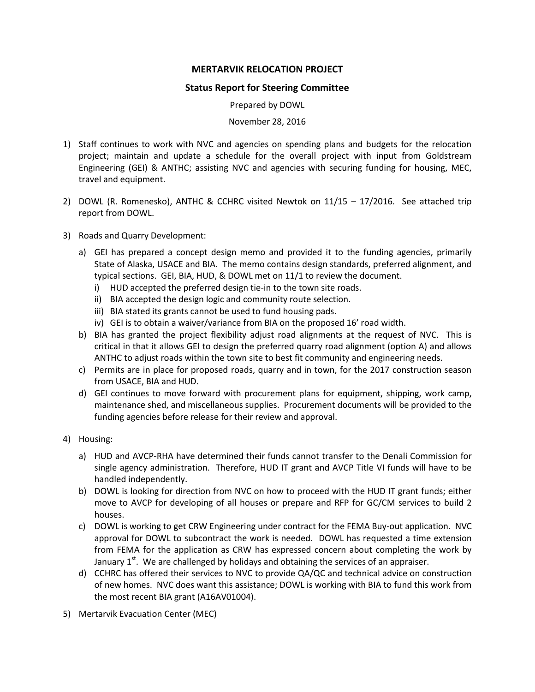## **MERTARVIK RELOCATION PROJECT**

## **Status Report for Steering Committee**

Prepared by DOWL

November 28, 2016

- 1) Staff continues to work with NVC and agencies on spending plans and budgets for the relocation project; maintain and update a schedule for the overall project with input from Goldstream Engineering (GEI) & ANTHC; assisting NVC and agencies with securing funding for housing, MEC, travel and equipment.
- 2) DOWL (R. Romenesko), ANTHC & CCHRC visited Newtok on 11/15 17/2016. See attached trip report from DOWL.
- 3) Roads and Quarry Development:
	- a) GEI has prepared a concept design memo and provided it to the funding agencies, primarily State of Alaska, USACE and BIA. The memo contains design standards, preferred alignment, and typical sections. GEI, BIA, HUD, & DOWL met on 11/1 to review the document.
		- i) HUD accepted the preferred design tie-in to the town site roads.
		- ii) BIA accepted the design logic and community route selection.
		- iii) BIA stated its grants cannot be used to fund housing pads.
		- iv) GEI is to obtain a waiver/variance from BIA on the proposed 16' road width.
	- b) BIA has granted the project flexibility adjust road alignments at the request of NVC. This is critical in that it allows GEI to design the preferred quarry road alignment (option A) and allows ANTHC to adjust roads within the town site to best fit community and engineering needs.
	- c) Permits are in place for proposed roads, quarry and in town, for the 2017 construction season from USACE, BIA and HUD.
	- d) GEI continues to move forward with procurement plans for equipment, shipping, work camp, maintenance shed, and miscellaneous supplies. Procurement documents will be provided to the funding agencies before release for their review and approval.
- 4) Housing:
	- a) HUD and AVCP-RHA have determined their funds cannot transfer to the Denali Commission for single agency administration. Therefore, HUD IT grant and AVCP Title VI funds will have to be handled independently.
	- b) DOWL is looking for direction from NVC on how to proceed with the HUD IT grant funds; either move to AVCP for developing of all houses or prepare and RFP for GC/CM services to build 2 houses.
	- c) DOWL is working to get CRW Engineering under contract for the FEMA Buy-out application. NVC approval for DOWL to subcontract the work is needed. DOWL has requested a time extension from FEMA for the application as CRW has expressed concern about completing the work by January  $1<sup>st</sup>$ . We are challenged by holidays and obtaining the services of an appraiser.
	- d) CCHRC has offered their services to NVC to provide QA/QC and technical advice on construction of new homes. NVC does want this assistance; DOWL is working with BIA to fund this work from the most recent BIA grant (A16AV01004).
- 5) Mertarvik Evacuation Center (MEC)